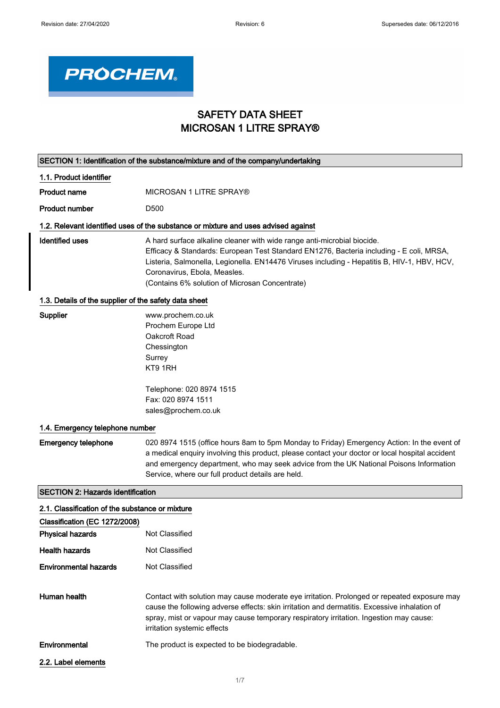

# SAFETY DATA SHEET MICROSAN 1 LITRE SPRAY®

|                                                       | SECTION 1: Identification of the substance/mixture and of the company/undertaking                                                                                                                                                                                                                                                                   |
|-------------------------------------------------------|-----------------------------------------------------------------------------------------------------------------------------------------------------------------------------------------------------------------------------------------------------------------------------------------------------------------------------------------------------|
| 1.1. Product identifier                               |                                                                                                                                                                                                                                                                                                                                                     |
| <b>Product name</b>                                   | MICROSAN 1 LITRE SPRAY®                                                                                                                                                                                                                                                                                                                             |
| <b>Product number</b>                                 | D <sub>500</sub>                                                                                                                                                                                                                                                                                                                                    |
|                                                       | 1.2. Relevant identified uses of the substance or mixture and uses advised against                                                                                                                                                                                                                                                                  |
| <b>Identified uses</b>                                | A hard surface alkaline cleaner with wide range anti-microbial biocide.<br>Efficacy & Standards: European Test Standard EN1276, Bacteria including - E coli, MRSA,<br>Listeria, Salmonella, Legionella. EN14476 Viruses including - Hepatitis B, HIV-1, HBV, HCV,<br>Coronavirus, Ebola, Measles.<br>(Contains 6% solution of Microsan Concentrate) |
| 1.3. Details of the supplier of the safety data sheet |                                                                                                                                                                                                                                                                                                                                                     |
| <b>Supplier</b>                                       | www.prochem.co.uk<br>Prochem Europe Ltd<br>Oakcroft Road<br>Chessington<br>Surrey<br>KT9 1RH                                                                                                                                                                                                                                                        |
|                                                       | Telephone: 020 8974 1515<br>Fax: 020 8974 1511<br>sales@prochem.co.uk                                                                                                                                                                                                                                                                               |
| 1.4. Emergency telephone number                       |                                                                                                                                                                                                                                                                                                                                                     |
| <b>Emergency telephone</b>                            | 020 8974 1515 (office hours 8am to 5pm Monday to Friday) Emergency Action: In the event of<br>a medical enquiry involving this product, please contact your doctor or local hospital accident<br>and emergency department, who may seek advice from the UK National Poisons Information<br>Service, where our full product details are held.        |
| <b>SECTION 2: Hazards identification</b>              |                                                                                                                                                                                                                                                                                                                                                     |
| 2.1. Classification of the substance or mixture       |                                                                                                                                                                                                                                                                                                                                                     |
| Classification (EC 1272/2008)                         |                                                                                                                                                                                                                                                                                                                                                     |
| <b>Physical hazards</b>                               | Not Classified                                                                                                                                                                                                                                                                                                                                      |
| <b>Health hazards</b>                                 | Not Classified                                                                                                                                                                                                                                                                                                                                      |
| <b>Environmental hazards</b>                          | Not Classified                                                                                                                                                                                                                                                                                                                                      |
| Human health                                          | Contact with solution may cause moderate eye irritation. Prolonged or repeated exposure may<br>cause the following adverse effects: skin irritation and dermatitis. Excessive inhalation of<br>spray, mist or vapour may cause temporary respiratory irritation. Ingestion may cause:<br>irritation systemic effects                                |
| Environmental                                         | The product is expected to be biodegradable.                                                                                                                                                                                                                                                                                                        |
| 2.2. Label elements                                   |                                                                                                                                                                                                                                                                                                                                                     |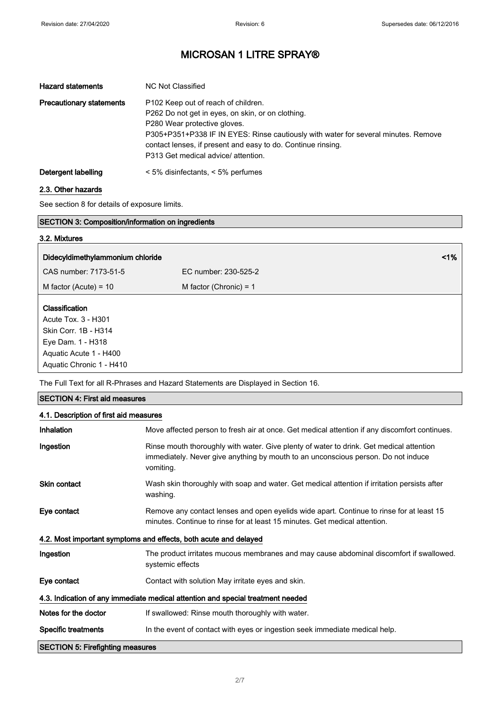| <b>Hazard statements</b>        | NC Not Classified                                                                                                                                                                                                         |
|---------------------------------|---------------------------------------------------------------------------------------------------------------------------------------------------------------------------------------------------------------------------|
| <b>Precautionary statements</b> | P <sub>102</sub> Keep out of reach of children.<br>P262 Do not get in eyes, on skin, or on clothing.                                                                                                                      |
|                                 | P280 Wear protective gloves.<br>P305+P351+P338 IF IN EYES: Rinse cautiously with water for several minutes. Remove<br>contact lenses, if present and easy to do. Continue rinsing.<br>P313 Get medical advice/ attention. |
| Detergent labelling             | $\le$ 5% disinfectants, $\le$ 5% perfumes                                                                                                                                                                                 |

### 2.3. Other hazards

See section 8 for details of exposure limits.

| <b>SECTION 3: Composition/information on ingredients</b>                                                     |                          |  |
|--------------------------------------------------------------------------------------------------------------|--------------------------|--|
| 3.2. Mixtures                                                                                                |                          |  |
| Didecyldimethylammonium chloride                                                                             | $1\%$                    |  |
| CAS number: 7173-51-5                                                                                        | EC number: 230-525-2     |  |
| M factor (Acute) = $10$                                                                                      | M factor (Chronic) = $1$ |  |
| Classification<br>Acute Tox. 3 - H301<br>Skin Corr. 1B - H314<br>Eye Dam. 1 - H318<br>Aquatic Acute 1 - H400 |                          |  |
| Aquatic Chronic 1 - H410                                                                                     |                          |  |

The Full Text for all R-Phrases and Hazard Statements are Displayed in Section 16.

### SECTION 4: First aid measures

### 4.1. Description of first aid measures

| Inhalation                                                                      | Move affected person to fresh air at once. Get medical attention if any discomfort continues.                                                                                             |
|---------------------------------------------------------------------------------|-------------------------------------------------------------------------------------------------------------------------------------------------------------------------------------------|
| Ingestion                                                                       | Rinse mouth thoroughly with water. Give plenty of water to drink. Get medical attention<br>immediately. Never give anything by mouth to an unconscious person. Do not induce<br>vomiting. |
| <b>Skin contact</b>                                                             | Wash skin thoroughly with soap and water. Get medical attention if irritation persists after<br>washing.                                                                                  |
| Eye contact                                                                     | Remove any contact lenses and open eyelids wide apart. Continue to rinse for at least 15<br>minutes. Continue to rinse for at least 15 minutes. Get medical attention.                    |
| 4.2. Most important symptoms and effects, both acute and delayed                |                                                                                                                                                                                           |
| Ingestion                                                                       | The product irritates mucous membranes and may cause abdominal discomfort if swallowed.<br>systemic effects                                                                               |
| Eye contact                                                                     | Contact with solution May irritate eyes and skin.                                                                                                                                         |
| 4.3. Indication of any immediate medical attention and special treatment needed |                                                                                                                                                                                           |
| Notes for the doctor                                                            | If swallowed: Rinse mouth thoroughly with water.                                                                                                                                          |
| <b>Specific treatments</b>                                                      | In the event of contact with eyes or ingestion seek immediate medical help.                                                                                                               |
| <b>SECTION 5: Firefighting measures</b>                                         |                                                                                                                                                                                           |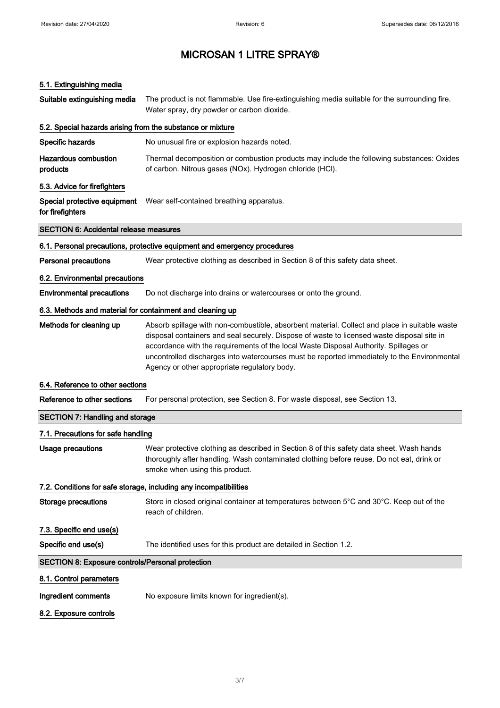## 5.1. Extinguishing media

| Suitable extinguishing media                              | The product is not flammable. Use fire-extinguishing media suitable for the surrounding fire.<br>Water spray, dry powder or carbon dioxide.                                                                                                                                                                                                                                                                                        |  |
|-----------------------------------------------------------|------------------------------------------------------------------------------------------------------------------------------------------------------------------------------------------------------------------------------------------------------------------------------------------------------------------------------------------------------------------------------------------------------------------------------------|--|
|                                                           | 5.2. Special hazards arising from the substance or mixture                                                                                                                                                                                                                                                                                                                                                                         |  |
| Specific hazards                                          | No unusual fire or explosion hazards noted.                                                                                                                                                                                                                                                                                                                                                                                        |  |
| <b>Hazardous combustion</b><br>products                   | Thermal decomposition or combustion products may include the following substances: Oxides<br>of carbon. Nitrous gases (NOx). Hydrogen chloride (HCl).                                                                                                                                                                                                                                                                              |  |
| 5.3. Advice for firefighters                              |                                                                                                                                                                                                                                                                                                                                                                                                                                    |  |
| Special protective equipment<br>for firefighters          | Wear self-contained breathing apparatus.                                                                                                                                                                                                                                                                                                                                                                                           |  |
| <b>SECTION 6: Accidental release measures</b>             |                                                                                                                                                                                                                                                                                                                                                                                                                                    |  |
|                                                           | 6.1. Personal precautions, protective equipment and emergency procedures                                                                                                                                                                                                                                                                                                                                                           |  |
| <b>Personal precautions</b>                               | Wear protective clothing as described in Section 8 of this safety data sheet.                                                                                                                                                                                                                                                                                                                                                      |  |
| 6.2. Environmental precautions                            |                                                                                                                                                                                                                                                                                                                                                                                                                                    |  |
| <b>Environmental precautions</b>                          | Do not discharge into drains or watercourses or onto the ground.                                                                                                                                                                                                                                                                                                                                                                   |  |
| 6.3. Methods and material for containment and cleaning up |                                                                                                                                                                                                                                                                                                                                                                                                                                    |  |
| Methods for cleaning up                                   | Absorb spillage with non-combustible, absorbent material. Collect and place in suitable waste<br>disposal containers and seal securely. Dispose of waste to licensed waste disposal site in<br>accordance with the requirements of the local Waste Disposal Authority. Spillages or<br>uncontrolled discharges into watercourses must be reported immediately to the Environmental<br>Agency or other appropriate regulatory body. |  |
| 6.4. Reference to other sections                          |                                                                                                                                                                                                                                                                                                                                                                                                                                    |  |
| Reference to other sections                               | For personal protection, see Section 8. For waste disposal, see Section 13.                                                                                                                                                                                                                                                                                                                                                        |  |
| <b>SECTION 7: Handling and storage</b>                    |                                                                                                                                                                                                                                                                                                                                                                                                                                    |  |
| 7.1. Precautions for safe handling                        |                                                                                                                                                                                                                                                                                                                                                                                                                                    |  |
| <b>Usage precautions</b>                                  | Wear protective clothing as described in Section 8 of this safety data sheet. Wash hands<br>thoroughly after handling. Wash contaminated clothing before reuse. Do not eat, drink or<br>smoke when using this product.                                                                                                                                                                                                             |  |
|                                                           | 7.2. Conditions for safe storage, including any incompatibilities                                                                                                                                                                                                                                                                                                                                                                  |  |
| <b>Storage precautions</b>                                | Store in closed original container at temperatures between 5°C and 30°C. Keep out of the<br>reach of children.                                                                                                                                                                                                                                                                                                                     |  |
| 7.3. Specific end use(s)                                  |                                                                                                                                                                                                                                                                                                                                                                                                                                    |  |
| Specific end use(s)                                       | The identified uses for this product are detailed in Section 1.2.                                                                                                                                                                                                                                                                                                                                                                  |  |
| SECTION 8: Exposure controls/Personal protection          |                                                                                                                                                                                                                                                                                                                                                                                                                                    |  |
| 8.1. Control parameters                                   |                                                                                                                                                                                                                                                                                                                                                                                                                                    |  |
| Ingredient comments                                       | No exposure limits known for ingredient(s).                                                                                                                                                                                                                                                                                                                                                                                        |  |
| 8.2. Exposure controls                                    |                                                                                                                                                                                                                                                                                                                                                                                                                                    |  |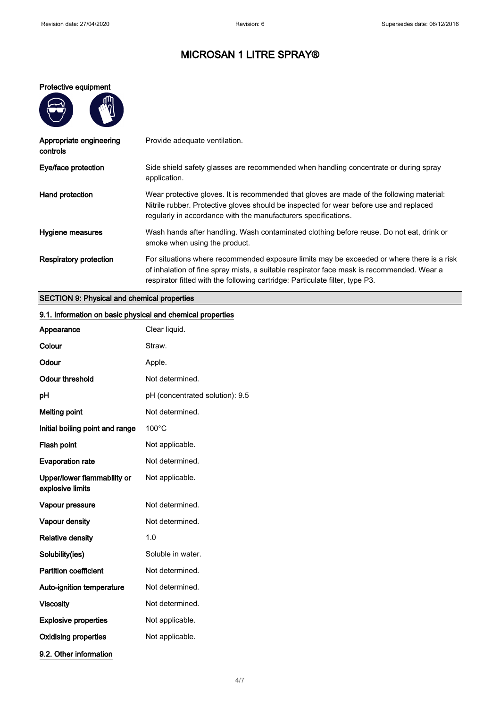#### Protective equipment

 $\overline{\phantom{1}}$ 

 $\mathbf{m}$ 

| Provide adequate ventilation.                                                                                                                                                                                                                                          |
|------------------------------------------------------------------------------------------------------------------------------------------------------------------------------------------------------------------------------------------------------------------------|
| Side shield safety glasses are recommended when handling concentrate or during spray<br>application.                                                                                                                                                                   |
| Wear protective gloves. It is recommended that gloves are made of the following material:<br>Nitrile rubber. Protective gloves should be inspected for wear before use and replaced<br>regularly in accordance with the manufacturers specifications.                  |
| Wash hands after handling. Wash contaminated clothing before reuse. Do not eat, drink or<br>smoke when using the product.                                                                                                                                              |
| For situations where recommended exposure limits may be exceeded or where there is a risk<br>of inhalation of fine spray mists, a suitable respirator face mask is recommended. Wear a<br>respirator fitted with the following cartridge: Particulate filter, type P3. |
|                                                                                                                                                                                                                                                                        |

## SECTION 9: Physical and chemical properties

# Appearance Clear liquid. Colour Straw. Odour Apple. Odour threshold Not determined. pH pH (concentrated solution): 9.5

9.1. Information on basic physical and chemical properties

| рH                                              | pH (concentrated solution): 9.5 |
|-------------------------------------------------|---------------------------------|
| <b>Melting point</b>                            | Not determined.                 |
| Initial boiling point and range                 | $100^{\circ}$ C                 |
| Flash point                                     | Not applicable.                 |
| <b>Evaporation rate</b>                         | Not determined.                 |
| Upper/lower flammability or<br>explosive limits | Not applicable.                 |
| Vapour pressure                                 | Not determined.                 |
| Vapour density                                  | Not determined.                 |
| <b>Relative density</b>                         | 1.0                             |
| Solubility(ies)                                 | Soluble in water.               |
| <b>Partition coefficient</b>                    | Not determined.                 |
| Auto-ignition temperature                       | Not determined.                 |
| <b>Viscosity</b>                                | Not determined.                 |
| <b>Explosive properties</b>                     | Not applicable.                 |
| <b>Oxidising properties</b>                     | Not applicable.                 |

9.2. Other information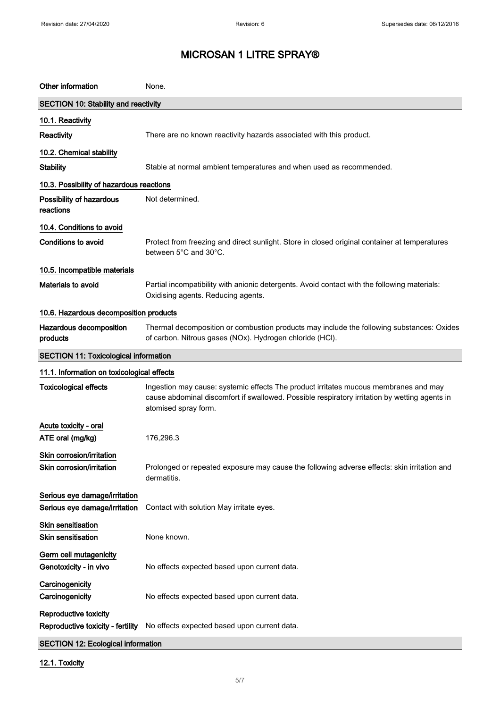| Other information                                              | None.                                                                                                                                                                                                         |
|----------------------------------------------------------------|---------------------------------------------------------------------------------------------------------------------------------------------------------------------------------------------------------------|
| <b>SECTION 10: Stability and reactivity</b>                    |                                                                                                                                                                                                               |
| 10.1. Reactivity                                               |                                                                                                                                                                                                               |
| Reactivity                                                     | There are no known reactivity hazards associated with this product.                                                                                                                                           |
| 10.2. Chemical stability                                       |                                                                                                                                                                                                               |
| <b>Stability</b>                                               | Stable at normal ambient temperatures and when used as recommended.                                                                                                                                           |
| 10.3. Possibility of hazardous reactions                       |                                                                                                                                                                                                               |
| Possibility of hazardous<br>reactions                          | Not determined.                                                                                                                                                                                               |
| 10.4. Conditions to avoid                                      |                                                                                                                                                                                                               |
| <b>Conditions to avoid</b>                                     | Protect from freezing and direct sunlight. Store in closed original container at temperatures<br>between 5°C and 30°C.                                                                                        |
| 10.5. Incompatible materials                                   |                                                                                                                                                                                                               |
| Materials to avoid                                             | Partial incompatibility with anionic detergents. Avoid contact with the following materials:<br>Oxidising agents. Reducing agents.                                                                            |
| 10.6. Hazardous decomposition products                         |                                                                                                                                                                                                               |
| Hazardous decomposition<br>products                            | Thermal decomposition or combustion products may include the following substances: Oxides<br>of carbon. Nitrous gases (NOx). Hydrogen chloride (HCl).                                                         |
| <b>SECTION 11: Toxicological information</b>                   |                                                                                                                                                                                                               |
| 11.1. Information on toxicological effects                     |                                                                                                                                                                                                               |
| <b>Toxicological effects</b>                                   | Ingestion may cause: systemic effects The product irritates mucous membranes and may<br>cause abdominal discomfort if swallowed. Possible respiratory irritation by wetting agents in<br>atomised spray form. |
| Acute toxicity - oral                                          |                                                                                                                                                                                                               |
| ATE oral (mg/kg)                                               | 176,296.3                                                                                                                                                                                                     |
| Skin corrosion/irritation<br>Skin corrosion/irritation         | Prolonged or repeated exposure may cause the following adverse effects: skin irritation and<br>dermatitis.                                                                                                    |
| Serious eye damage/irritation<br>Serious eye damage/irritation | Contact with solution May irritate eyes.                                                                                                                                                                      |
| Skin sensitisation<br><b>Skin sensitisation</b>                | None known.                                                                                                                                                                                                   |
| Germ cell mutagenicity<br>Genotoxicity - in vivo               | No effects expected based upon current data.                                                                                                                                                                  |
| Carcinogenicity<br>Carcinogenicity                             | No effects expected based upon current data.                                                                                                                                                                  |
| Reproductive toxicity<br>Reproductive toxicity - fertility     | No effects expected based upon current data.                                                                                                                                                                  |
| <b>SECTION 12: Ecological information</b>                      |                                                                                                                                                                                                               |

## 12.1. Toxicity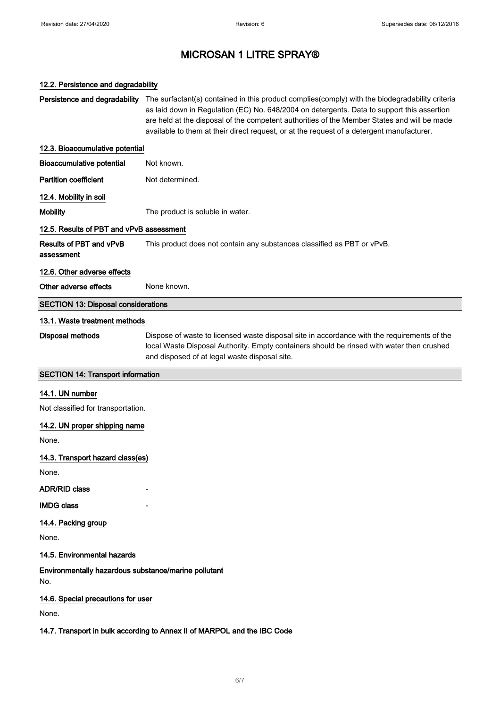#### 12.2. Persistence and degradability

Persistence and degradability The surfactant(s) contained in this product complies(comply) with the biodegradability criteria as laid down in Regulation (EC) No. 648/2004 on detergents. Data to support this assertion are held at the disposal of the competent authorities of the Member States and will be made available to them at their direct request, or at the request of a detergent manufacturer.

## 12.3. Bioaccumulative potential Bioaccumulative potential Not known. Partition coefficient Not determined. 12.4. Mobility in soil Mobility **Mobility** The product is soluble in water. 12.5. Results of PBT and vPvB assessment Results of PBT and vPvB assessment This product does not contain any substances classified as PBT or vPvB.

#### 12.6. Other adverse effects

Other adverse effects Mone known

#### SECTION 13: Disposal considerations

#### 13.1. Waste treatment methods

Disposal methods Dispose of waste to licensed waste disposal site in accordance with the requirements of the local Waste Disposal Authority. Empty containers should be rinsed with water then crushed and disposed of at legal waste disposal site.

#### SECTION 14: Transport information

#### 14.1. UN number

Not classified for transportation.

#### 14.2. UN proper shipping name

None.

#### 14.3. Transport hazard class(es)

None.

#### ADR/RID class

**IMDG** class

## 14.4. Packing group

None.

#### 14.5. Environmental hazards

Environmentally hazardous substance/marine pollutant No.

#### 14.6. Special precautions for user

None.

#### 14.7. Transport in bulk according to Annex II of MARPOL and the IBC Code